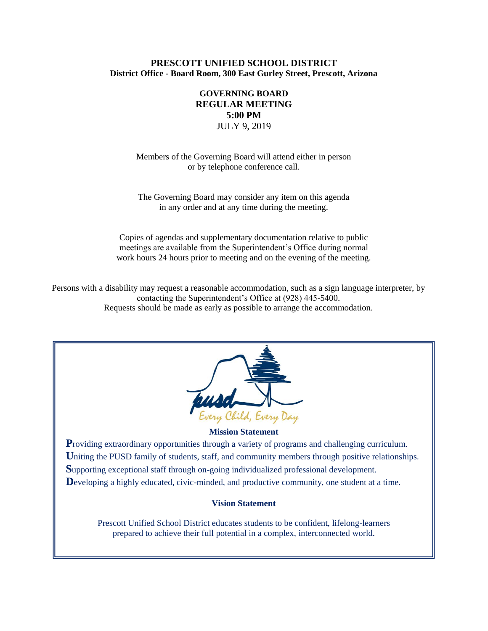### **PRESCOTT UNIFIED SCHOOL DISTRICT District Office - Board Room, 300 East Gurley Street, Prescott, Arizona**

# **GOVERNING BOARD REGULAR MEETING 5:00 PM** JULY 9, 2019

Members of the Governing Board will attend either in person or by telephone conference call.

The Governing Board may consider any item on this agenda in any order and at any time during the meeting.

Copies of agendas and supplementary documentation relative to public meetings are available from the Superintendent's Office during normal work hours 24 hours prior to meeting and on the evening of the meeting.

Persons with a disability may request a reasonable accommodation, such as a sign language interpreter, by contacting the Superintendent's Office at (928) 445-5400. Requests should be made as early as possible to arrange the accommodation.



#### **Mission Statement**

**Providing extraordinary opportunities through a variety of programs and challenging curriculum.** Uniting the PUSD family of students, staff, and community members through positive relationships. **S**upporting exceptional staff through on-going individualized professional development. Developing a highly educated, civic-minded, and productive community, one student at a time.

#### **Vision Statement**

Prescott Unified School District educates students to be confident, lifelong-learners prepared to achieve their full potential in a complex, interconnected world.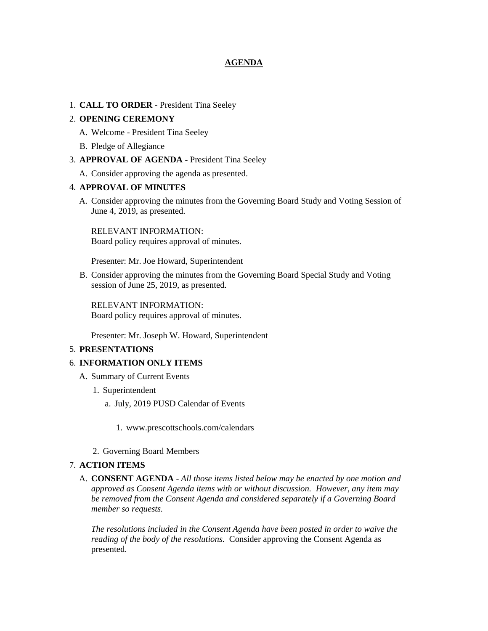### **AGENDA**

### 1. **CALL TO ORDER** - President Tina Seeley

### 2. **OPENING CEREMONY**

- A. Welcome President Tina Seeley
- B. Pledge of Allegiance
- 3. **APPROVAL OF AGENDA** President Tina Seeley
	- A. Consider approving the agenda as presented.

### 4. **APPROVAL OF MINUTES**

A. Consider approving the minutes from the Governing Board Study and Voting Session of June 4, 2019, as presented.

RELEVANT INFORMATION: Board policy requires approval of minutes.

Presenter: Mr. Joe Howard, Superintendent

B. Consider approving the minutes from the Governing Board Special Study and Voting session of June 25, 2019, as presented.

RELEVANT INFORMATION: Board policy requires approval of minutes.

Presenter: Mr. Joseph W. Howard, Superintendent

#### 5. **PRESENTATIONS**

#### 6. **INFORMATION ONLY ITEMS**

- A. Summary of Current Events
	- 1. Superintendent
		- a. July, 2019 PUSD Calendar of Events
			- 1. www.prescottschools.com/calendars
	- 2. Governing Board Members

#### 7. **ACTION ITEMS**

A. **CONSENT AGENDA** - *All those items listed below may be enacted by one motion and approved as Consent Agenda items with or without discussion. However, any item may be removed from the Consent Agenda and considered separately if a Governing Board member so requests.*

*The resolutions included in the Consent Agenda have been posted in order to waive the reading of the body of the resolutions.* Consider approving the Consent Agenda as presented.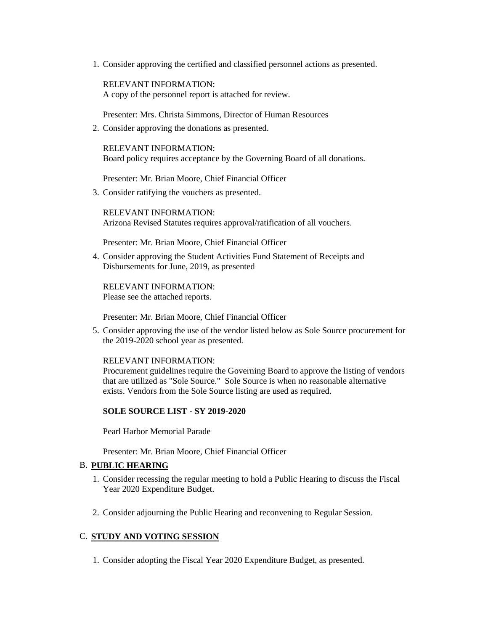1. Consider approving the certified and classified personnel actions as presented.

RELEVANT INFORMATION: A copy of the personnel report is attached for review.

Presenter: Mrs. Christa Simmons, Director of Human Resources

2. Consider approving the donations as presented.

RELEVANT INFORMATION: Board policy requires acceptance by the Governing Board of all donations.

Presenter: Mr. Brian Moore, Chief Financial Officer

3. Consider ratifying the vouchers as presented.

RELEVANT INFORMATION: Arizona Revised Statutes requires approval/ratification of all vouchers.

Presenter: Mr. Brian Moore, Chief Financial Officer

4. Consider approving the Student Activities Fund Statement of Receipts and Disbursements for June, 2019, as presented

RELEVANT INFORMATION: Please see the attached reports.

Presenter: Mr. Brian Moore, Chief Financial Officer

5. Consider approving the use of the vendor listed below as Sole Source procurement for the 2019-2020 school year as presented.

RELEVANT INFORMATION:

Procurement guidelines require the Governing Board to approve the listing of vendors that are utilized as "Sole Source." Sole Source is when no reasonable alternative exists. Vendors from the Sole Source listing are used as required.

#### **SOLE SOURCE LIST - SY 2019-2020**

Pearl Harbor Memorial Parade

Presenter: Mr. Brian Moore, Chief Financial Officer

# B. **PUBLIC HEARING**

- 1. Consider recessing the regular meeting to hold a Public Hearing to discuss the Fiscal Year 2020 Expenditure Budget.
- 2. Consider adjourning the Public Hearing and reconvening to Regular Session.

## C. **STUDY AND VOTING SESSION**

1. Consider adopting the Fiscal Year 2020 Expenditure Budget, as presented.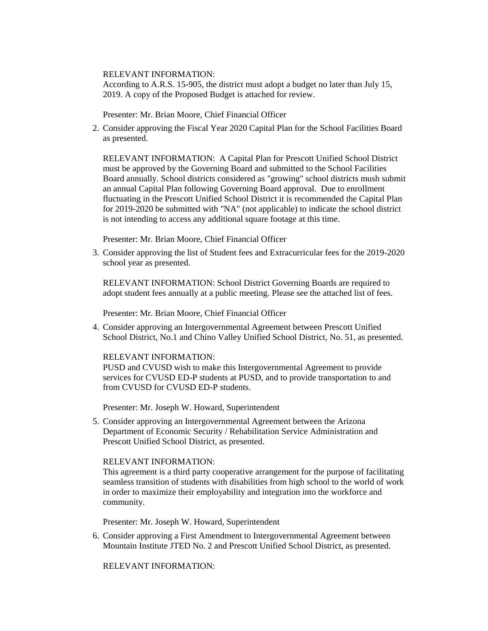#### RELEVANT INFORMATION:

According to A.R.S. 15-905, the district must adopt a budget no later than July 15, 2019. A copy of the Proposed Budget is attached for review.

Presenter: Mr. Brian Moore, Chief Financial Officer

2. Consider approving the Fiscal Year 2020 Capital Plan for the School Facilities Board as presented.

RELEVANT INFORMATION: A Capital Plan for Prescott Unified School District must be approved by the Governing Board and submitted to the School Facilities Board annually. School districts considered as "growing" school districts mush submit an annual Capital Plan following Governing Board approval. Due to enrollment fluctuating in the Prescott Unified School District it is recommended the Capital Plan for 2019-2020 be submitted with "NA" (not applicable) to indicate the school district is not intending to access any additional square footage at this time.

Presenter: Mr. Brian Moore, Chief Financial Officer

3. Consider approving the list of Student fees and Extracurricular fees for the 2019-2020 school year as presented.

RELEVANT INFORMATION: School District Governing Boards are required to adopt student fees annually at a public meeting. Please see the attached list of fees.

Presenter: Mr. Brian Moore, Chief Financial Officer

4. Consider approving an Intergovernmental Agreement between Prescott Unified School District, No.1 and Chino Valley Unified School District, No. 51, as presented.

#### RELEVANT INFORMATION:

PUSD and CVUSD wish to make this Intergovernmental Agreement to provide services for CVUSD ED-P students at PUSD, and to provide transportation to and from CVUSD for CVUSD ED-P students.

Presenter: Mr. Joseph W. Howard, Superintendent

5. Consider approving an Intergovernmental Agreement between the Arizona Department of Economic Security / Rehabilitation Service Administration and Prescott Unified School District, as presented.

### RELEVANT INFORMATION:

This agreement is a third party cooperative arrangement for the purpose of facilitating seamless transition of students with disabilities from high school to the world of work in order to maximize their employability and integration into the workforce and community.

Presenter: Mr. Joseph W. Howard, Superintendent

6. Consider approving a First Amendment to Intergovernmental Agreement between Mountain Institute JTED No. 2 and Prescott Unified School District, as presented.

RELEVANT INFORMATION: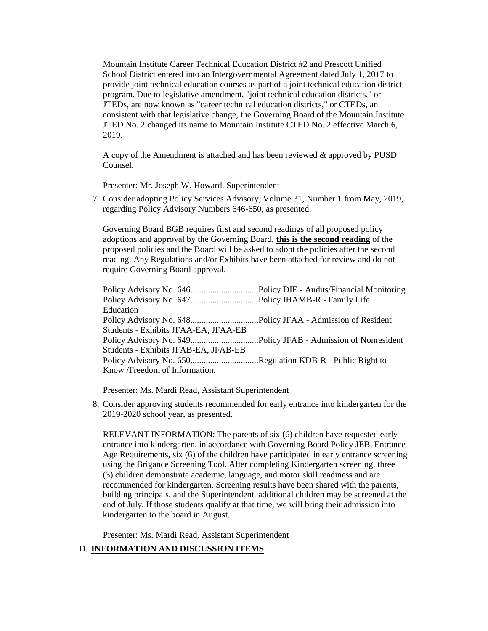Mountain Institute Career Technical Education District #2 and Prescott Unified School District entered into an Intergovernmental Agreement dated July 1, 2017 to provide joint technical education courses as part of a joint technical education district program. Due to legislative amendment, "joint technical education districts," or JTEDs, are now known as "career technical education districts," or CTEDs, an consistent with that legislative change, the Governing Board of the Mountain Institute JTED No. 2 changed its name to Mountain Institute CTED No. 2 effective March 6, 2019.

A copy of the Amendment is attached and has been reviewed & approved by PUSD Counsel.

Presenter: Mr. Joseph W. Howard, Superintendent

7. Consider adopting Policy Services Advisory, Volume 31, Number 1 from May, 2019, regarding Policy Advisory Numbers 646-650, as presented.

Governing Board BGB requires first and second readings of all proposed policy adoptions and approval by the Governing Board, **this is the second reading** of the proposed policies and the Board will be asked to adopt the policies after the second reading. Any Regulations and/or Exhibits have been attached for review and do not require Governing Board approval.

| Education                                                 |  |
|-----------------------------------------------------------|--|
|                                                           |  |
| Students - Exhibits JFAA-EA, JFAA-EB                      |  |
|                                                           |  |
| Students - Exhibits JFAB-EA, JFAB-EB                      |  |
| Policy Advisory No. 650Regulation KDB-R - Public Right to |  |
| Know /Freedom of Information.                             |  |

Presenter: Ms. Mardi Read, Assistant Superintendent

8. Consider approving students recommended for early entrance into kindergarten for the 2019-2020 school year, as presented.

RELEVANT INFORMATION: The parents of six (6) children have requested early entrance into kindergarten. in accordance with Governing Board Policy JEB, Entrance Age Requirements, six (6) of the children have participated in early entrance screening using the Brigance Screening Tool. After completing Kindergarten screening, three (3) children demonstrate academic, language, and motor skill readiness and are recommended for kindergarten. Screening results have been shared with the parents, building principals, and the Superintendent. additional children may be screened at the end of July. If those students qualify at that time, we will bring their admission into kindergarten to the board in August.

Presenter: Ms. Mardi Read, Assistant Superintendent

### D. **INFORMATION AND DISCUSSION ITEMS**